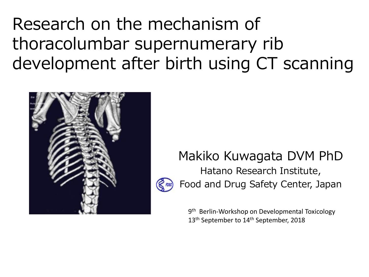Research on the mechanism of thoracolumbar supernumerary rib development after birth using CT scanning



### Makiko Kuwagata DVM PhD Hatano Research Institute, Food and Drug Safety Center, Japan

9<sup>th</sup> Berlin-Workshop on Developmental Toxicology 13<sup>th</sup> September to 14<sup>th</sup> September, 2018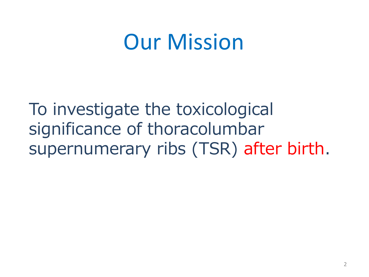## Our Mission

To investigate the toxicological significance of thoracolumbar supernumerary ribs (TSR) after birth.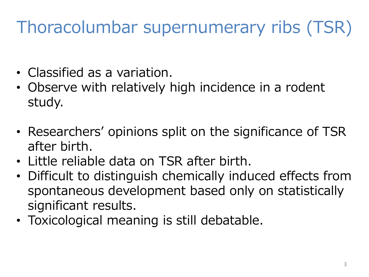## Thoracolumbar supernumerary ribs (TSR)

- Classified as a variation.
- Observe with relatively high incidence in a rodent study.
- Researchers' opinions split on the significance of TSR after birth.
- Little reliable data on TSR after birth.
- Difficult to distinguish chemically induced effects from spontaneous development based only on statistically significant results.
- Toxicological meaning is still debatable.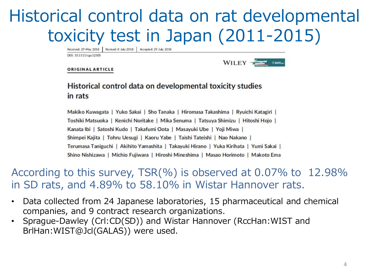### Historical control data on rat developmental toxicity test in Japan (2011-2015)

Received: 29 May 2018 Revised: 8 July 2018 | Accepted: 29 July 2018

DOI: 10.1111/cga.12305

WILEY -

#### **ORIGINAL ARTICLE**

#### Historical control data on developmental toxicity studies in rats

Makiko Kuwagata | Yuko Sakai | Sho Tanaka | Hiromasa Takashima | Ryuichi Katagiri | Toshiki Matsuoka | Kenichi Noritake | Mika Senuma | Tatsuya Shimizu | Hitoshi Hojo | Kanata Ibi | Satoshi Kudo | Takafumi Oota | Masayuki Ube | Yoji Miwa | Shimpei Kajita | Tohru Uesugi | Kaoru Yabe | Taishi Tateishi | Nao Nakano | Terumasa Taniguchi | Akihito Yamashita | Takayuki Hirano | Yuka Kirihata | Yumi Sakai | Shino Nishizawa | Michio Fujiwara | Hiroshi Mineshima | Masao Horimoto | Makoto Ema

#### According to this survey, TSR(%) is observed at 0.07% to 12.98% in SD rats, and 4.89% to 58.10% in Wistar Hannover rats.

- Data collected from 24 Japanese laboratories, 15 pharmaceutical and chemical companies, and 9 contract research organizations.
- Sprague-Dawley (Crl:CD(SD)) and Wistar Hannover (RccHan:WIST and BrlHan:WIST@Jcl(GALAS)) were used.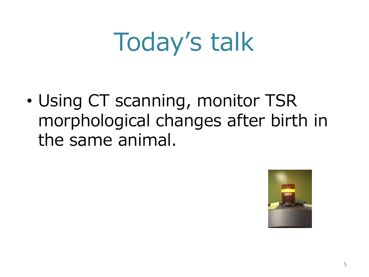## Today's talk

• Using CT scanning, monitor TSR morphological changes after birth in the same animal.

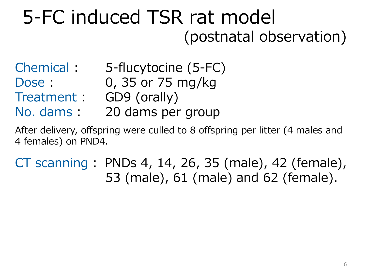### 5-FC induced TSR rat model (postnatal observation)

- Chemical : 5-flucytocine (5-FC)
- Dose : 0, 35 or 75 mg/kg
- Treatment : GD9 (orally)
- No. dams : 20 dams per group

After delivery, offspring were culled to 8 offspring per litter (4 males and 4 females) on PND4.

CT scanning : PNDs 4, 14, 26, 35 (male), 42 (female), 53 (male), 61 (male) and 62 (female).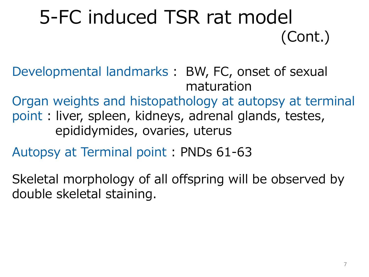## 5-FC induced TSR rat model (Cont.)

Developmental landmarks : BW, FC, onset of sexual maturation

Organ weights and histopathology at autopsy at terminal point : liver, spleen, kidneys, adrenal glands, testes, epididymides, ovaries, uterus

Autopsy at Terminal point : PNDs 61-63

Skeletal morphology of all offspring will be observed by double skeletal staining.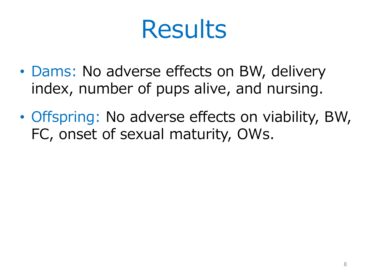## Results

- Dams: No adverse effects on BW, delivery index, number of pups alive, and nursing.
- Offspring: No adverse effects on viability, BW, FC, onset of sexual maturity, OWs.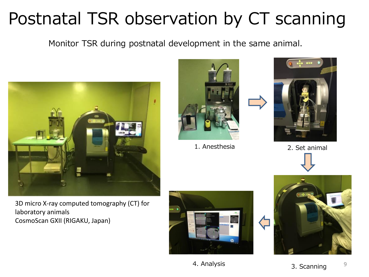Monitor TSR during postnatal development in the same animal.



3D micro X-ray computed tomography (CT) for laboratory animals CosmoScan GXII (RIGAKU, Japan)



1. Anesthesia 2. Set animal





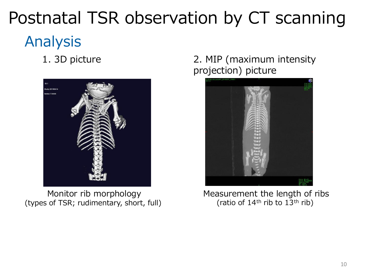### Analysis

1. 3D picture



 Monitor rib morphology (types of TSR; rudimentary, short, full)

#### 2. MIP (maximum intensity projection) picture



Measurement the length of ribs (ratio of  $14<sup>th</sup>$  rib to  $13<sup>th</sup>$  rib)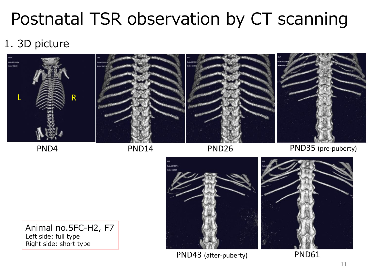### 1. 3D picture



PND4 PND14

PND26 PND35 (pre-puberty)

Animal no.5FC-H2, F7 Left side: full type Right side: short type



PND43 (after-puberty) PND61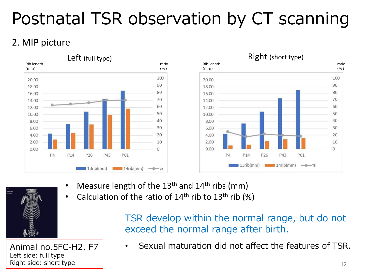### 2. MIP picture



- Measure length of the  $13<sup>th</sup>$  and  $14<sup>th</sup>$  ribs (mm)
- Calculation of the ratio of  $14<sup>th</sup>$  rib to  $13<sup>th</sup>$  rib (%)

TSR develop within the normal range, but do not exceed the normal range after birth.

Animal no.5FC-H2, F7 Left side: full type Right side: short type

• Sexual maturation did not affect the features of TSR.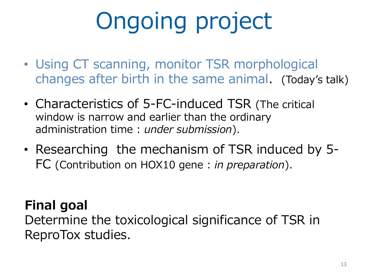## Ongoing project

- Using CT scanning, monitor TSR morphological changes after birth in the same animal. (Today's talk)
- Characteristics of 5-FC-induced TSR (The critical window is narrow and earlier than the ordinary administration time : *under submission*).
- Researching the mechanism of TSR induced by 5- FC (Contribution on HOX10 gene : *in preparation*).

### **Final goal**

Determine the toxicological significance of TSR in ReproTox studies.